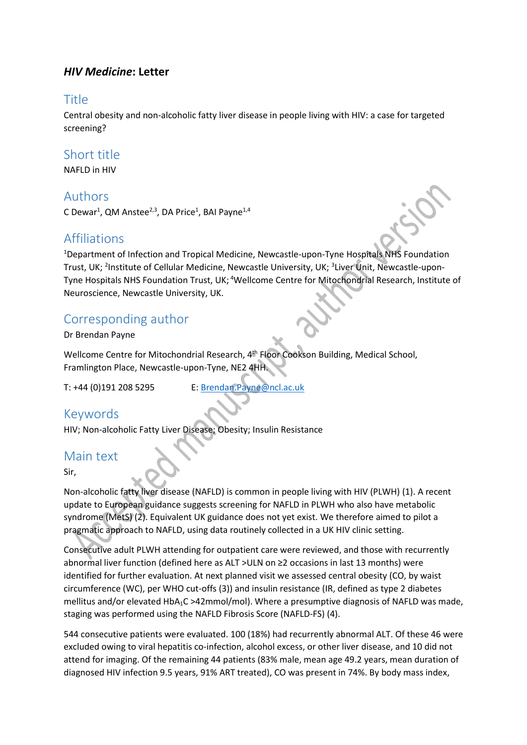### *HIV Medicine***: Letter**

### Title

Central obesity and non-alcoholic fatty liver disease in people living with HIV: a case for targeted screening?

### Short title

NAFLD in HIV

#### Authors

C Dewar<sup>1</sup>, QM Anstee<sup>2,3</sup>, DA Price<sup>1</sup>, BAI Payne<sup>1,4</sup>

## **Affiliations**

<sup>1</sup>Department of Infection and Tropical Medicine, Newcastle-upon-Tyne Hospitals NHS Foundation Trust, UK; <sup>2</sup>Institute of Cellular Medicine, Newcastle University, UK; <sup>3</sup>Liver Unit, Newcastle-upon-Tyne Hospitals NHS Foundation Trust, UK; <sup>4</sup>Wellcome Centre for Mitochondrial Research, Institute of Neuroscience, Newcastle University, UK.

## Corresponding author

Dr Brendan Payne

Wellcome Centre for Mitochondrial Research, 4<sup>th</sup> Floor Cookson Building, Medical School, Framlington Place, Newcastle-upon-Tyne, NE2 4HH.

T: +44 (0)191 208 5295 E: [Brendan.Payne@ncl.ac.uk](mailto:Brendan.Payne@ncl.ac.uk)

## Keywords

HIV; Non-alcoholic Fatty Liver Disease; Obesity; Insulin Resistance

## Main text

Sir,

Non-alcoholic fatty liver disease (NAFLD) is common in people living with HIV (PLWH) (1). A recent update to European guidance suggests screening for NAFLD in PLWH who also have metabolic syndrome (MetS) (2). Equivalent UK guidance does not yet exist. We therefore aimed to pilot a pragmatic approach to NAFLD, using data routinely collected in a UK HIV clinic setting.

Consecutive adult PLWH attending for outpatient care were reviewed, and those with recurrently abnormal liver function (defined here as ALT >ULN on ≥2 occasions in last 13 months) were identified for further evaluation. At next planned visit we assessed central obesity (CO, by waist circumference (WC), per WHO cut-offs (3)) and insulin resistance (IR, defined as type 2 diabetes mellitus and/or elevated HbA1C >42mmol/mol). Where a presumptive diagnosis of NAFLD was made, staging was performed using the NAFLD Fibrosis Score (NAFLD-FS) (4).

544 consecutive patients were evaluated. 100 (18%) had recurrently abnormal ALT. Of these 46 were excluded owing to viral hepatitis co-infection, alcohol excess, or other liver disease, and 10 did not attend for imaging. Of the remaining 44 patients (83% male, mean age 49.2 years, mean duration of diagnosed HIV infection 9.5 years, 91% ART treated), CO was present in 74%. By body mass index,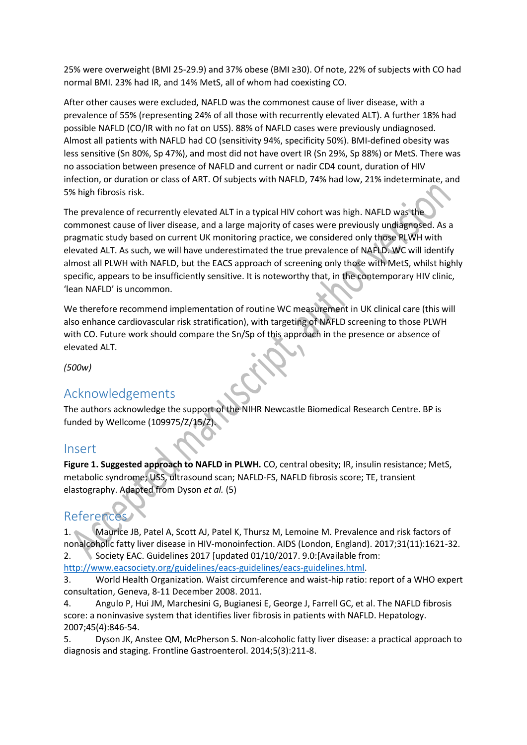25% were overweight (BMI 25-29.9) and 37% obese (BMI ≥30). Of note, 22% of subjects with CO had normal BMI. 23% had IR, and 14% MetS, all of whom had coexisting CO.

After other causes were excluded, NAFLD was the commonest cause of liver disease, with a prevalence of 55% (representing 24% of all those with recurrently elevated ALT). A further 18% had possible NAFLD (CO/IR with no fat on USS). 88% of NAFLD cases were previously undiagnosed. Almost all patients with NAFLD had CO (sensitivity 94%, specificity 50%). BMI-defined obesity was less sensitive (Sn 80%, Sp 47%), and most did not have overt IR (Sn 29%, Sp 88%) or MetS. There was no association between presence of NAFLD and current or nadir CD4 count, duration of HIV infection, or duration or class of ART. Of subjects with NAFLD, 74% had low, 21% indeterminate, and 5% high fibrosis risk.

The prevalence of recurrently elevated ALT in a typical HIV cohort was high. NAFLD was the commonest cause of liver disease, and a large majority of cases were previously undiagnosed. As a pragmatic study based on current UK monitoring practice, we considered only those PLWH with elevated ALT. As such, we will have underestimated the true prevalence of NAFLD. WC will identify almost all PLWH with NAFLD, but the EACS approach of screening only those with MetS, whilst highly specific, appears to be insufficiently sensitive. It is noteworthy that, in the contemporary HIV clinic, 'lean NAFLD' is uncommon.

We therefore recommend implementation of routine WC measurement in UK clinical care (this will also enhance cardiovascular risk stratification), with targeting of NAFLD screening to those PLWH with CO. Future work should compare the Sn/Sp of this approach in the presence or absence of elevated ALT.

*(500w)*

## Acknowledgements

The authors acknowledge the support of the NIHR Newcastle Biomedical Research Centre. BP is funded by Wellcome (109975/Z/15/Z).

#### Insert

Figure 1. Suggested approach to NAFLD in PLWH. CO, central obesity; IR, insulin resistance; MetS, metabolic syndrome; USS, ultrasound scan; NAFLD-FS, NAFLD fibrosis score; TE, transient elastography. Adapted from Dyson *et al.* (5)

# References

1. Maurice JB, Patel A, Scott AJ, Patel K, Thursz M, Lemoine M. Prevalence and risk factors of nonalcoholic fatty liver disease in HIV-monoinfection. AIDS (London, England). 2017;31(11):1621-32. 2. Society EAC. Guidelines 2017 [updated 01/10/2017. 9.0:[Available from:

[http://www.eacsociety.org/guidelines/eacs-guidelines/eacs-guidelines.html.](http://www.eacsociety.org/guidelines/eacs-guidelines/eacs-guidelines.html)

3. World Health Organization. Waist circumference and waist-hip ratio: report of a WHO expert consultation, Geneva, 8-11 December 2008. 2011.

4. Angulo P, Hui JM, Marchesini G, Bugianesi E, George J, Farrell GC, et al. The NAFLD fibrosis score: a noninvasive system that identifies liver fibrosis in patients with NAFLD. Hepatology. 2007;45(4):846-54.

5. Dyson JK, Anstee QM, McPherson S. Non-alcoholic fatty liver disease: a practical approach to diagnosis and staging. Frontline Gastroenterol. 2014;5(3):211-8.